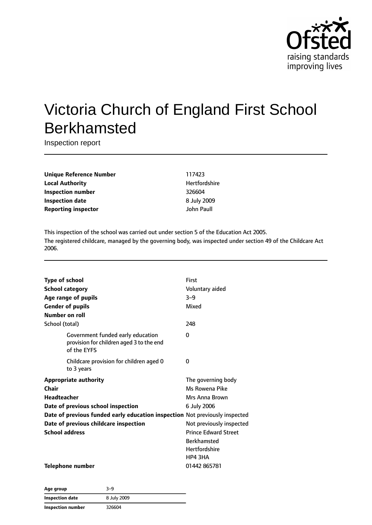

# Victoria Church of England First School Berkhamsted

Inspection report

**Unique Reference Number** 117423 **Local Authority Material Authority Hertfordshire Inspection number** 326604 **Inspection date** 8 July 2009 **Reporting inspector and COVID-10** and COVID-10 and John Paull

This inspection of the school was carried out under section 5 of the Education Act 2005. The registered childcare, managed by the governing body, was inspected under section 49 of the Childcare Act 2006.

| <b>Type of school</b>                                                                        | First                       |
|----------------------------------------------------------------------------------------------|-----------------------------|
| <b>School category</b>                                                                       | Voluntary aided             |
| Age range of pupils                                                                          | $3 - 9$                     |
| <b>Gender of pupils</b>                                                                      | Mixed                       |
| Number on roll                                                                               |                             |
| School (total)                                                                               | 248                         |
| Government funded early education<br>provision for children aged 3 to the end<br>of the EYFS | 0                           |
| Childcare provision for children aged 0<br>to 3 years                                        | 0                           |
| <b>Appropriate authority</b>                                                                 | The governing body          |
| Chair                                                                                        | Ms Rowena Pike              |
| <b>Headteacher</b>                                                                           | Mrs Anna Brown              |
| Date of previous school inspection                                                           | 6 July 2006                 |
| Date of previous funded early education inspection Not previously inspected                  |                             |
| Date of previous childcare inspection                                                        | Not previously inspected    |
| <b>School address</b>                                                                        | <b>Prince Edward Street</b> |
|                                                                                              | <b>Berkhamsted</b>          |
|                                                                                              | <b>Hertfordshire</b>        |
|                                                                                              | HP4 3HA                     |
| Telephone number                                                                             | 01442 865781                |

| Age group              | 3-9         |
|------------------------|-------------|
| <b>Inspection date</b> | 8 July 2009 |
| Inspection number      | 326604      |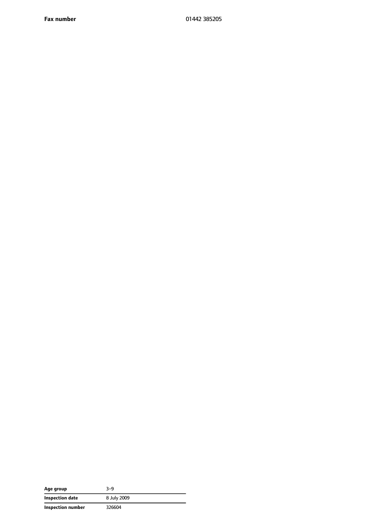**Fax number** 01442 385205

| Age group         | 3-9         |
|-------------------|-------------|
| Inspection date   | 8 July 2009 |
| Inspection number | 326604      |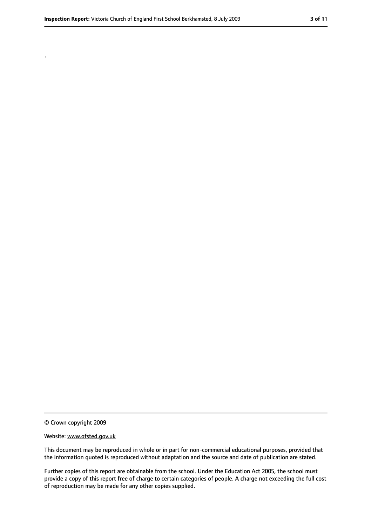.

<sup>©</sup> Crown copyright 2009

Website: www.ofsted.gov.uk

This document may be reproduced in whole or in part for non-commercial educational purposes, provided that the information quoted is reproduced without adaptation and the source and date of publication are stated.

Further copies of this report are obtainable from the school. Under the Education Act 2005, the school must provide a copy of this report free of charge to certain categories of people. A charge not exceeding the full cost of reproduction may be made for any other copies supplied.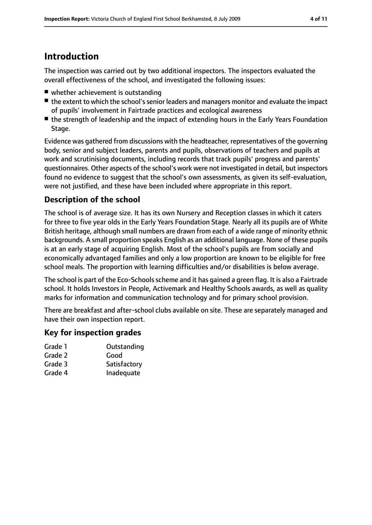## **Introduction**

The inspection was carried out by two additional inspectors. The inspectors evaluated the overall effectiveness of the school, and investigated the following issues:

- whether achievement is outstanding
- the extent to which the school's senior leaders and managers monitor and evaluate the impact of pupils' involvement in Fairtrade practices and ecological awareness
- the strength of leadership and the impact of extending hours in the Early Years Foundation Stage.

Evidence was gathered from discussions with the headteacher, representatives of the governing body, senior and subject leaders, parents and pupils, observations of teachers and pupils at work and scrutinising documents, including records that track pupils' progress and parents' questionnaires. Other aspects of the school's work were not investigated in detail, but inspectors found no evidence to suggest that the school's own assessments, as given its self-evaluation, were not justified, and these have been included where appropriate in this report.

### **Description of the school**

The school is of average size. It has its own Nursery and Reception classes in which it caters for three to five year olds in the Early Years Foundation Stage. Nearly all its pupils are of White British heritage, although small numbers are drawn from each of a wide range of minority ethnic backgrounds. A small proportion speaks English as an additional language. None of these pupils is at an early stage of acquiring English. Most of the school's pupils are from socially and economically advantaged families and only a low proportion are known to be eligible for free school meals. The proportion with learning difficulties and/or disabilities is below average.

The school is part of the Eco-Schools scheme and it has gained a green flag. It is also a Fairtrade school. It holds Investors in People, Activemark and Healthy Schools awards, as well as quality marks for information and communication technology and for primary school provision.

There are breakfast and after-school clubs available on site. These are separately managed and have their own inspection report.

### **Key for inspection grades**

| Grade 1 | Outstanding  |
|---------|--------------|
| Grade 2 | Good         |
| Grade 3 | Satisfactory |
| Grade 4 | Inadequate   |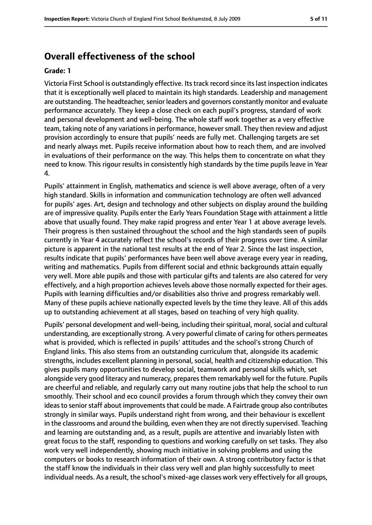### **Overall effectiveness of the school**

#### **Grade: 1**

Victoria First School is outstandingly effective. Itstrack record since itslast inspection indicates that it is exceptionally well placed to maintain its high standards. Leadership and management are outstanding. The headteacher, senior leaders and governors constantly monitor and evaluate performance accurately. They keep a close check on each pupil's progress, standard of work and personal development and well-being. The whole staff work together as a very effective team, taking note of any variations in performance, however small. They then review and adjust provision accordingly to ensure that pupils' needs are fully met. Challenging targets are set and nearly always met. Pupils receive information about how to reach them, and are involved in evaluations of their performance on the way. This helps them to concentrate on what they need to know. This rigour results in consistently high standards by the time pupils leave in Year 4.

Pupils' attainment in English, mathematics and science is well above average, often of a very high standard. Skills in information and communication technology are often well advanced for pupils' ages. Art, design and technology and other subjects on display around the building are of impressive quality. Pupils enter the Early Years Foundation Stage with attainment a little above that usually found. They make rapid progress and enter Year 1 at above average levels. Their progress is then sustained throughout the school and the high standards seen of pupils currently in Year 4 accurately reflect the school's records of their progress over time. A similar picture is apparent in the national test results at the end of Year 2. Since the last inspection, results indicate that pupils' performances have been well above average every year in reading, writing and mathematics. Pupils from different social and ethnic backgrounds attain equally very well. More able pupils and those with particular gifts and talents are also catered for very effectively, and a high proportion achieves levels above those normally expected for their ages. Pupils with learning difficulties and/or disabilities also thrive and progress remarkably well. Many of these pupils achieve nationally expected levels by the time they leave. All of this adds up to outstanding achievement at all stages, based on teaching of very high quality.

Pupils' personal development and well-being, including their spiritual, moral, social and cultural understanding, are exceptionally strong. A very powerful climate of caring for others permeates what is provided, which is reflected in pupils' attitudes and the school's strong Church of England links. This also stems from an outstanding curriculum that, alongside its academic strengths, includes excellent planning in personal, social, health and citizenship education. This gives pupils many opportunities to develop social, teamwork and personal skills which, set alongside very good literacy and numeracy, preparesthem remarkably well for the future. Pupils are cheerful and reliable, and regularly carry out many routine jobs that help the school to run smoothly. Their school and eco council provides a forum through which they convey their own ideas to senior staff about improvements that could be made. A Fairtrade group also contributes strongly in similar ways. Pupils understand right from wrong, and their behaviour is excellent in the classrooms and around the building, even when they are not directly supervised. Teaching and learning are outstanding and, as a result, pupils are attentive and invariably listen with great focus to the staff, responding to questions and working carefully on set tasks. They also work very well independently, showing much initiative in solving problems and using the computers or books to research information of their own. A strong contributory factor is that the staff know the individuals in their class very well and plan highly successfully to meet individual needs. As a result, the school's mixed-age classes work very effectively for all groups,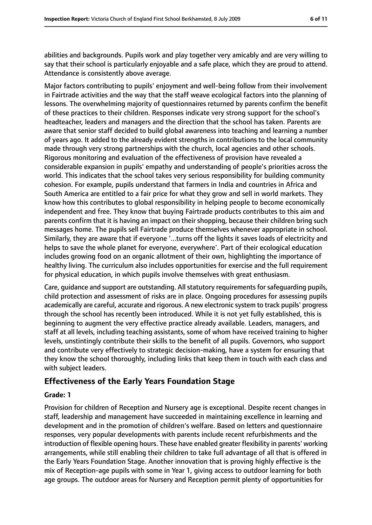abilities and backgrounds. Pupils work and play together very amicably and are very willing to say that their school is particularly enjoyable and a safe place, which they are proud to attend. Attendance is consistently above average.

Major factors contributing to pupils' enjoyment and well-being follow from their involvement in Fairtrade activities and the way that the staff weave ecological factors into the planning of lessons. The overwhelming majority of questionnaires returned by parents confirm the benefit of these practices to their children. Responses indicate very strong support for the school's headteacher, leaders and managers and the direction that the school has taken. Parents are aware that senior staff decided to build global awareness into teaching and learning a number of years ago. It added to the already evident strengths in contributions to the local community made through very strong partnerships with the church, local agencies and other schools. Rigorous monitoring and evaluation of the effectiveness of provision have revealed a considerable expansion in pupils' empathy and understanding of people's priorities across the world. This indicates that the school takes very serious responsibility for building community cohesion. For example, pupils understand that farmers in India and countries in Africa and South America are entitled to a fair price for what they grow and sell in world markets. They know how this contributes to global responsibility in helping people to become economically independent and free. They know that buying Fairtrade products contributes to this aim and parents confirm that it is having an impact on their shopping, because their children bring such messages home. The pupils sell Fairtrade produce themselves whenever appropriate in school. Similarly, they are aware that if everyone '...turns off the lights it saves loads of electricity and helps to save the whole planet for everyone, everywhere'. Part of their ecological education includes growing food on an organic allotment of their own, highlighting the importance of healthy living. The curriculum also includes opportunities for exercise and the full requirement for physical education, in which pupils involve themselves with great enthusiasm.

Care, guidance and support are outstanding. All statutory requirements for safeguarding pupils, child protection and assessment of risks are in place. Ongoing procedures for assessing pupils academically are careful, accurate and rigorous. A new electronic system to track pupils' progress through the school has recently been introduced. While it is not yet fully established, this is beginning to augment the very effective practice already available. Leaders, managers, and staff at all levels, including teaching assistants, some of whom have received training to higher levels, unstintingly contribute their skills to the benefit of all pupils. Governors, who support and contribute very effectively to strategic decision-making, have a system for ensuring that they know the school thoroughly, including links that keep them in touch with each class and with subject leaders.

### **Effectiveness of the Early Years Foundation Stage**

#### **Grade: 1**

Provision for children of Reception and Nursery age is exceptional. Despite recent changes in staff, leadership and management have succeeded in maintaining excellence in learning and development and in the promotion of children's welfare. Based on letters and questionnaire responses, very popular developments with parents include recent refurbishments and the introduction of flexible opening hours. These have enabled greater flexibility in parents' working arrangements, while still enabling their children to take full advantage of all that is offered in the Early Years Foundation Stage. Another innovation that is proving highly effective is the mix of Reception-age pupils with some in Year 1, giving access to outdoor learning for both age groups. The outdoor areas for Nursery and Reception permit plenty of opportunities for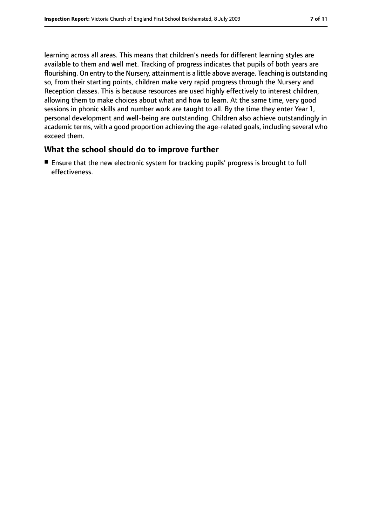learning across all areas. This means that children's needs for different learning styles are available to them and well met. Tracking of progress indicates that pupils of both years are flourishing. On entry to the Nursery, attainment is a little above average. Teaching is outstanding so, from their starting points, children make very rapid progress through the Nursery and Reception classes. This is because resources are used highly effectively to interest children, allowing them to make choices about what and how to learn. At the same time, very good sessions in phonic skills and number work are taught to all. By the time they enter Year 1, personal development and well-being are outstanding. Children also achieve outstandingly in academic terms, with a good proportion achieving the age-related goals, including several who exceed them.

### **What the school should do to improve further**

■ Ensure that the new electronic system for tracking pupils' progress is brought to full effectiveness.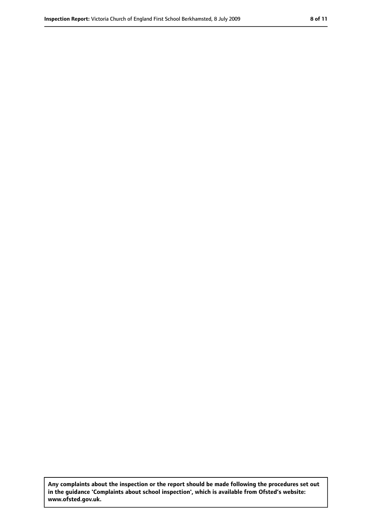**Any complaints about the inspection or the report should be made following the procedures set out in the guidance 'Complaints about school inspection', which is available from Ofsted's website: www.ofsted.gov.uk.**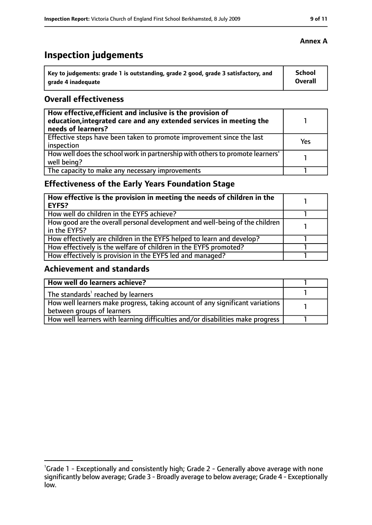# **Inspection judgements**

| Key to judgements: grade 1 is outstanding, grade 2 good, grade 3 satisfactory, and | <b>School</b> |
|------------------------------------------------------------------------------------|---------------|
| arade 4 inadequate                                                                 | Overall       |

### **Overall effectiveness**

| How effective, efficient and inclusive is the provision of<br>education, integrated care and any extended services in meeting the<br>needs of learners? |     |
|---------------------------------------------------------------------------------------------------------------------------------------------------------|-----|
| Effective steps have been taken to promote improvement since the last<br>inspection                                                                     | Yes |
| How well does the school work in partnership with others to promote learners'<br>well being?                                                            |     |
| The capacity to make any necessary improvements                                                                                                         |     |

### **Effectiveness of the Early Years Foundation Stage**

| How effective is the provision in meeting the needs of children in the<br><b>EYFS?</b>       |  |
|----------------------------------------------------------------------------------------------|--|
| How well do children in the EYFS achieve?                                                    |  |
| How good are the overall personal development and well-being of the children<br>in the EYFS? |  |
| How effectively are children in the EYFS helped to learn and develop?                        |  |
| How effectively is the welfare of children in the EYFS promoted?                             |  |
| How effectively is provision in the EYFS led and managed?                                    |  |

### **Achievement and standards**

| How well do learners achieve?                                                  |  |
|--------------------------------------------------------------------------------|--|
| The standards <sup>1</sup> reached by learners                                 |  |
| How well learners make progress, taking account of any significant variations  |  |
| between groups of learners                                                     |  |
| How well learners with learning difficulties and/or disabilities make progress |  |

<sup>&</sup>lt;sup>1</sup>Grade 1 - Exceptionally and consistently high; Grade 2 - Generally above average with none significantly below average; Grade 3 - Broadly average to below average; Grade 4 - Exceptionally low.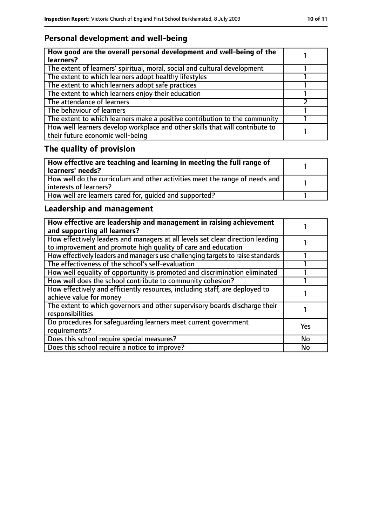### **Personal development and well-being**

| How good are the overall personal development and well-being of the<br>learners?                                 |  |
|------------------------------------------------------------------------------------------------------------------|--|
| The extent of learners' spiritual, moral, social and cultural development                                        |  |
| The extent to which learners adopt healthy lifestyles                                                            |  |
| The extent to which learners adopt safe practices                                                                |  |
| The extent to which learners enjoy their education                                                               |  |
| The attendance of learners                                                                                       |  |
| The behaviour of learners                                                                                        |  |
| The extent to which learners make a positive contribution to the community                                       |  |
| How well learners develop workplace and other skills that will contribute to<br>their future economic well-being |  |

# **The quality of provision**

| How effective are teaching and learning in meeting the full range of<br>learners' needs?              |  |
|-------------------------------------------------------------------------------------------------------|--|
| How well do the curriculum and other activities meet the range of needs and<br>interests of learners? |  |
| How well are learners cared for, quided and supported?                                                |  |

### **Leadership and management**

| How effective are leadership and management in raising achievement<br>and supporting all learners?                                              |            |
|-------------------------------------------------------------------------------------------------------------------------------------------------|------------|
| How effectively leaders and managers at all levels set clear direction leading<br>to improvement and promote high quality of care and education |            |
| How effectively leaders and managers use challenging targets to raise standards                                                                 |            |
| The effectiveness of the school's self-evaluation                                                                                               |            |
| How well equality of opportunity is promoted and discrimination eliminated                                                                      |            |
| How well does the school contribute to community cohesion?                                                                                      |            |
| How effectively and efficiently resources, including staff, are deployed to<br>achieve value for money                                          |            |
| The extent to which governors and other supervisory boards discharge their<br>responsibilities                                                  |            |
| Do procedures for safequarding learners meet current government<br>requirements?                                                                | <b>Yes</b> |
| Does this school require special measures?                                                                                                      | No         |
| Does this school require a notice to improve?                                                                                                   | No         |